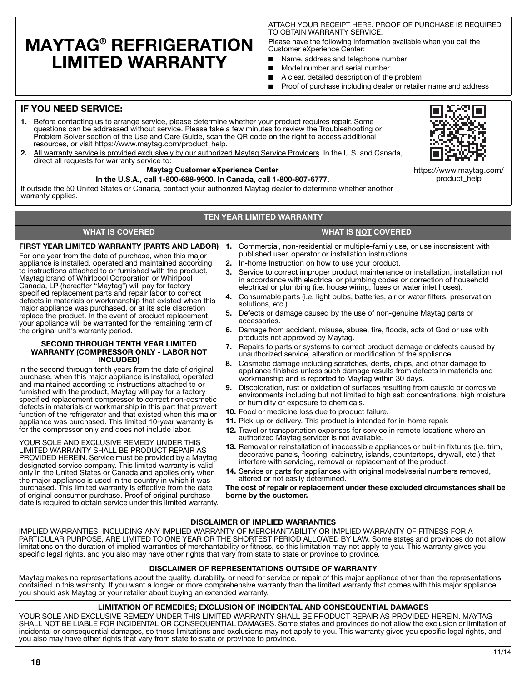## **MAYTAG® REFRIGERATION LIMITED WARRANTY**

ATTACH YOUR RECEIPT HERE. PROOF OF PURCHASE IS REQUIRED TO OBTAIN WARRANTY SERVICE.

Please have the following information available when you call the Customer eXperience Center:

- Name, address and telephone number
- Model number and serial number
- A clear, detailed description of the problem
- Proof of purchase including dealer or retailer name and address

### **IF YOU NEED SERVICE:**

- **1.** Before contacting us to arrange service, please determine whether your product requires repair. Some questions can be addressed without service. Please take a few minutes to review the Troubleshooting or Problem Solver section of the Use and Care Guide, scan the QR code on the right to access additional resources, or visit https://www.maytag.com/product\_help.
- **2.** All warranty service is provided exclusively by our authorized Maytag Service Providers. In the U.S. and Canada, direct all requests for warranty service to:

### **Maytag Customer eXperience Center**

### **In the U.S.A., call 1-800-688-9900. In Canada, call 1-800-807-6777.**

If outside the 50 United States or Canada, contact your authorized Maytag dealer to determine whether another warranty applies.

### **TEN YEAR LIMITED WARRANTY**

### **WHAT IS COVERED WHAT IS NOT COVERED**

For one year from the date of purchase, when this major appliance is installed, operated and maintained according to instructions attached to or furnished with the product, Maytag brand of Whirlpool Corporation or Whirlpool Canada, LP (hereafter "Maytag") will pay for factory specified replacement parts and repair labor to correct defects in materials or workmanship that existed when this major appliance was purchased, or at its sole discretion replace the product. In the event of product replacement, your appliance will be warranted for the remaining term of the original unit's warranty period.

### **SECOND THROUGH TENTH YEAR LIMITED WARRANTY (COMPRESSOR ONLY - LABOR NOT INCLUDED)**

In the second through tenth years from the date of original purchase, when this major appliance is installed, operated and maintained according to instructions attached to or furnished with the product, Maytag will pay for a factory specified replacement compressor to correct non-cosmetic defects in materials or workmanship in this part that prevent function of the refrigerator and that existed when this major appliance was purchased. This limited 10-year warranty is for the compressor only and does not include labor.

YOUR SOLE AND EXCLUSIVE REMEDY UNDER THIS LIMITED WARRANTY SHALL BE PRODUCT REPAIR AS PROVIDED HEREIN. Service must be provided by a Maytag designated service company. This limited warranty is valid only in the United States or Canada and applies only when the major appliance is used in the country in which it was purchased. This limited warranty is effective from the date of original consumer purchase. Proof of original purchase date is required to obtain service under this limited warranty.

- **FIRST YEAR LIMITED WARRANTY (PARTS AND LABOR) 1.** Commercial, non-residential or multiple-family use, or use inconsistent with published user, operator or installation instructions.
	- **2.** In-home Instruction on how to use your product.
	- **3.** Service to correct improper product maintenance or installation, installation not in accordance with electrical or plumbing codes or correction of household electrical or plumbing (i.e. house wiring, fuses or water inlet hoses).
	- **4.** Consumable parts (i.e. light bulbs, batteries, air or water filters, preservation solutions, etc.).
	- **5.** Defects or damage caused by the use of non-genuine Maytag parts or accessories.
	- **6.** Damage from accident, misuse, abuse, fire, floods, acts of God or use with products not approved by Maytag.
	- **7.** Repairs to parts or systems to correct product damage or defects caused by unauthorized service, alteration or modification of the appliance.
	- **8.** Cosmetic damage including scratches, dents, chips, and other damage to appliance finishes unless such damage results from defects in materials and workmanship and is reported to Maytag within 30 days.
	- **9.** Discoloration, rust or oxidation of surfaces resulting from caustic or corrosive environments including but not limited to high salt concentrations, high moisture or humidity or exposure to chemicals.
	- **10.** Food or medicine loss due to product failure.
	- **11.** Pick-up or delivery. This product is intended for in-home repair.
	- **12.** Travel or transportation expenses for service in remote locations where an authorized Maytag servicer is not available.
	- **13.** Removal or reinstallation of inaccessible appliances or built-in fixtures (i.e. trim, decorative panels, flooring, cabinetry, islands, countertops, drywall, etc.) that interfere with servicing, removal or replacement of the product.
	- **14.** Service or parts for appliances with original model/serial numbers removed, altered or not easily determined.

**The cost of repair or replacement under these excluded circumstances shall be borne by the customer.** 

### **DISCLAIMER OF IMPLIED WARRANTIES**

IMPLIED WARRANTIES, INCLUDING ANY IMPLIED WARRANTY OF MERCHANTABILITY OR IMPLIED WARRANTY OF FITNESS FOR A PARTICULAR PURPOSE, ARE LIMITED TO ONE YEAR OR THE SHORTEST PERIOD ALLOWED BY LAW. Some states and provinces do not allow limitations on the duration of implied warranties of merchantability or fitness, so this limitation may not apply to you. This warranty gives you specific legal rights, and you also may have other rights that vary from state to state or province to province.

### **DISCLAIMER OF REPRESENTATIONS OUTSIDE OF WARRANTY**

Maytag makes no representations about the quality, durability, or need for service or repair of this major appliance other than the representations contained in this warranty. If you want a longer or more comprehensive warranty than the limited warranty that comes with this major appliance, you should ask Maytag or your retailer about buying an extended warranty.

### **LIMITATION OF REMEDIES; EXCLUSION OF INCIDENTAL AND CONSEQUENTIAL DAMAGES**

YOUR SOLE AND EXCLUSIVE REMEDY UNDER THIS LIMITED WARRANTY SHALL BE PRODUCT REPAIR AS PROVIDED HEREIN. MAYTAG SHALL NOT BE LIABLE FOR INCIDENTAL OR CONSEQUENTIAL DAMAGES. Some states and provinces do not allow the exclusion or limitation of incidental or consequential damages, so these limitations and exclusions may not apply to you. This warranty gives you specific legal rights, and you also may have other rights that vary from state to state or province to province.



https://www.maytag.com/

product\_help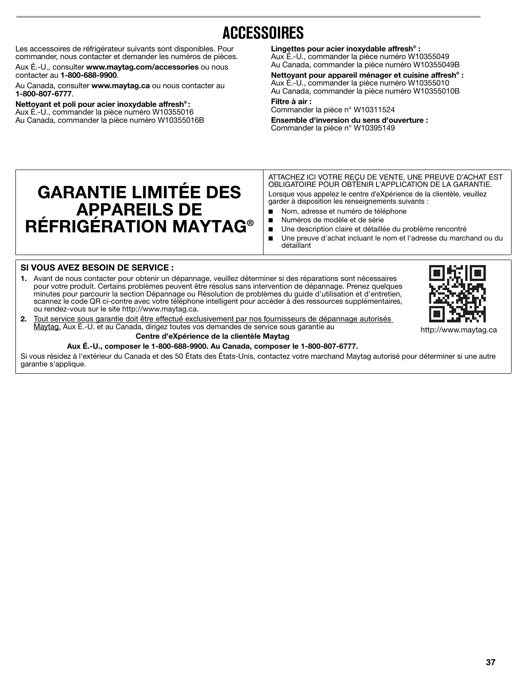# **ACCESSOIRES**

Les accessoires de réfrigérateur suivants sont disponibles. Pour commander, nous contacter et demander les numéros de pièces.

Aux É.-U., consulter **www.maytag.com/accessories** ou nous contacter au **1-800-688-9900**.

Au Canada, consulter **www.maytag.ca** ou nous contacter au **1-800-807-6777**.

**GARANTIE LIMITÉE DES** 

**APPAREILS DE RÉFRIGÉRATION MAYTAG®**

**Nettoyant et poli pour acier inoxydable affresh® :** Aux É.-U., commander la pièce numéro W10355016 Au Canada, commander la pièce numéro W10355016B **Lingettes pour acier inoxydable affresh® :** Aux É.-U., commander la pièce numéro W10355049 Au Canada, commander la pièce numéro W10355049B

**Nettoyant pour appareil ménager et cuisine affresh® :** Aux É.-U., commander la pièce numéro W10355010 Au Canada, commander la pièce numéro W10355010B

**Filtre à air :** Commander la pièce n° W10311524

**Ensemble d'inversion du sens d'ouverture :** Commander la pièce n° W10395149

ATTACHEZ ICI VOTRE REÇU DE VENTE. UNE PREUVE D'ACHAT EST OBLIGATOIRE POUR OBTENIR L'APPLICATION DE LA GARANTIE. Lorsque vous appelez le centre d'eXpérience de la clientèle, veuillez garder à disposition les renseignements suivants :

- Nom, adresse et numéro de téléphone
- Numéros de modèle et de série
- Une description claire et détaillée du problème rencontré
- Une preuve d'achat incluant le nom et l'adresse du marchand ou du détaillant

## **SI VOUS AVEZ BESOIN DE SERVICE :**

- **1.** Avant de nous contacter pour obtenir un dépannage, veuillez déterminer si des réparations sont nécessaires pour votre produit. Certains problèmes peuvent être résolus sans intervention de dépannage. Prenez quelques minutes pour parcourir la section Dépannage ou Résolution de problèmes du guide d'utilisation et d'entretien, scannez le code QR ci-contre avec votre téléphone intelligent pour accéder à des ressources supplémentaires, ou rendez-vous sur le site http://www.maytag.ca.
- 

**2.** Tout service sous garantie doit être effectué exclusivement par nos fournisseurs de dépannage autorisés Maytag. Aux É.-U. et au Canada, dirigez toutes vos demandes de service sous garantie au

### **Centre d'eXpérience de la clientèle Maytag Aux É.-U., composer le 1-800-688-9900. Au Canada, composer le 1-800-807-6777.**

Si vous résidez à l'extérieur du Canada et des 50 États des États-Unis, contactez votre marchand Maytag autorisé pour déterminer si une autre garantie s'applique.



http://www.maytag.ca